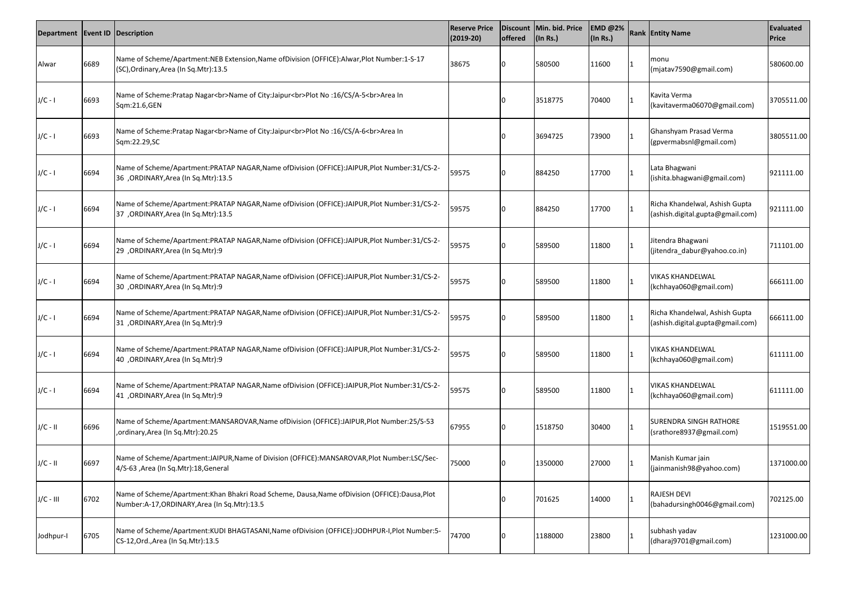| Department   Event ID   Description |      |                                                                                                                                                    | <b>Reserve Price</b><br>$(2019-20)$ | <b>offered</b> | Discount   Min. bid. Price<br>$\vert$ (In Rs.) | <b>EMD @2%</b><br>$\vert$ (In Rs.) | <b>Rank Entity Name</b>                                            | Evaluated<br><b>Price</b> |
|-------------------------------------|------|----------------------------------------------------------------------------------------------------------------------------------------------------|-------------------------------------|----------------|------------------------------------------------|------------------------------------|--------------------------------------------------------------------|---------------------------|
| Alwar                               | 6689 | Name of Scheme/Apartment:NEB Extension, Name of Division (OFFICE): Alwar, Plot Number:1-S-17<br>(SC), Ordinary, Area (In Sq. Mtr): 13.5            | 38675                               |                | 580500                                         | 11600                              | monu<br>(mjatav7590@gmail.com)                                     | 580600.00                 |
| $J/C - I$                           | 6693 | Name of Scheme:Pratap Nagar<br>Name of City:Jaipur<br>Plot No :16/CS/A-5<br>Area In<br>Sqm:21.6,GEN                                                |                                     |                | 3518775                                        | 70400                              | Kavita Verma<br>(kavitaverma06070@gmail.com)                       | 3705511.00                |
| $J/C - I$                           | 6693 | Name of Scheme:Pratap Nagar<br>Name of City:Jaipur<br>Plot No :16/CS/A-6<br>Area In<br>Sqm:22.29,SC                                                |                                     |                | 3694725                                        | 73900                              | Ghanshyam Prasad Verma<br>(gpvermabsnl@gmail.com)                  | 3805511.00                |
| $J/C - I$                           | 6694 | Name of Scheme/Apartment:PRATAP NAGAR, Name of Division (OFFICE):JAIPUR, Plot Number:31/CS-2-<br>36 , ORDINARY, Area (In Sq. Mtr): 13.5            | 59575                               |                | 884250                                         | 17700                              | Lata Bhagwani<br>(ishita.bhagwani@gmail.com)                       | 921111.00                 |
| $J/C - I$                           | 6694 | Name of Scheme/Apartment:PRATAP NAGAR, Name of Division (OFFICE):JAIPUR, Plot Number:31/CS-2-<br>37 ,ORDINARY, Area (In Sq. Mtr): 13.5             | 59575                               |                | 884250                                         | 17700                              | Richa Khandelwal, Ashish Gupta<br>(ashish.digital.gupta@gmail.com) | 921111.00                 |
| $J/C - I$                           | 6694 | Name of Scheme/Apartment:PRATAP NAGAR, Name of Division (OFFICE):JAIPUR, Plot Number:31/CS-2-<br>29 , ORDINARY, Area (In Sq. Mtr): 9               | 59575                               |                | 589500                                         | 11800                              | Jitendra Bhagwani<br>(jitendra_dabur@yahoo.co.in)                  | 711101.00                 |
| $J/C - I$                           | 6694 | Name of Scheme/Apartment:PRATAP NAGAR, Name of Division (OFFICE):JAIPUR, Plot Number:31/CS-2-<br>30 , ORDINARY, Area (In Sq. Mtr): 9               | 59575                               |                | 589500                                         | 11800                              | <b>VIKAS KHANDELWAL</b><br>(kchhaya060@gmail.com)                  | 666111.00                 |
| $J/C - I$                           | 6694 | Name of Scheme/Apartment:PRATAP NAGAR, Name of Division (OFFICE):JAIPUR, Plot Number:31/CS-2-<br>31 , ORDINARY, Area (In Sq. Mtr): 9               | 59575                               |                | 589500                                         | 11800                              | Richa Khandelwal, Ashish Gupta<br>(ashish.digital.gupta@gmail.com) | 666111.00                 |
| $J/C - I$                           | 6694 | Name of Scheme/Apartment:PRATAP NAGAR, Name of Division (OFFICE):JAIPUR, Plot Number:31/CS-2-<br>40 , ORDINARY, Area (In Sq. Mtr): 9               | 59575                               |                | 589500                                         | 11800                              | <b>VIKAS KHANDELWAL</b><br>(kchhaya060@gmail.com)                  | 611111.00                 |
| $J/C - I$                           | 6694 | Name of Scheme/Apartment:PRATAP NAGAR, Name of Division (OFFICE):JAIPUR, Plot Number:31/CS-2-<br>41 , ORDINARY, Area (In Sq. Mtr): 9               | 59575                               |                | 589500                                         | 11800                              | <b>VIKAS KHANDELWAL</b><br>(kchhaya060@gmail.com)                  | 611111.00                 |
| $J/C - II$                          | 6696 | Name of Scheme/Apartment:MANSAROVAR, Name of Division (OFFICE):JAIPUR, Plot Number:25/S-53<br>, ordinary, Area (In Sq. Mtr): 20.25                 | 67955                               |                | 1518750                                        | 30400                              | <b>SURENDRA SINGH RATHORE</b><br>(srathore8937@gmail.com)          | 1519551.00                |
| $J/C - II$                          | 6697 | Name of Scheme/Apartment:JAIPUR, Name of Division (OFFICE): MANSAROVAR, Plot Number:LSC/Sec-<br>4/S-63, Area (In Sq.Mtr):18, General               | 75000                               |                | 1350000                                        | 27000                              | Manish Kumar jain<br>(jainmanish98@yahoo.com)                      | 1371000.00                |
| $J/C - III$                         | 6702 | Name of Scheme/Apartment: Khan Bhakri Road Scheme, Dausa, Name of Division (OFFICE): Dausa, Plot<br>Number:A-17, ORDINARY, Area (In Sq. Mtr): 13.5 |                                     |                | 701625                                         | 14000                              | <b>RAJESH DEVI</b><br>(bahadursingh0046@gmail.com)                 | 702125.00                 |
| Jodhpur-I                           | 6705 | Name of Scheme/Apartment:KUDI BHAGTASANI, Name of Division (OFFICE):JODHPUR-I, Plot Number:5-<br>CS-12, Ord., Area (In Sq. Mtr): 13.5              | 74700                               |                | 1188000                                        | 23800                              | subhash yadav<br>(dharaj9701@gmail.com)                            | 1231000.00                |